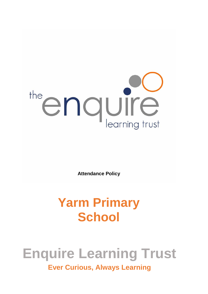

**Attendance Policy**

## **Yarm Primary School**

# **Enquire Learning Trust**

**Ever Curious, Always Learning**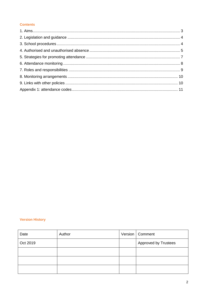#### **Contents**

#### **Version History**

| Date     | Author | Version   Comment           |
|----------|--------|-----------------------------|
| Oct 2019 |        | <b>Approved by Trustees</b> |
|          |        |                             |
|          |        |                             |
|          |        |                             |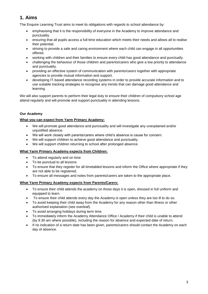## **1. Aims**

The Enquire Learning Trust aims to meet its obligations with regards to school attendance by:

- emphasising that it is the responsibility of everyone in the Academy to improve attendance and punctuality.
- ensuring that all pupils access a full-time education which meets their needs and allows all to realise their potential.
- striving to provide a safe and caring environment where each child can engage in all opportunities offered.
- working with children and their families to ensure every child has good attendance and punctually.
- challenging the behaviour of those children and parents/carers who give a low priority to attendance and punctuality.
- providing an effective system of communication with parents/carers together with appropriate agencies to provide mutual information and support.
- developing IT-based attendance recording systems in order to provide accurate information and to use suitable tracking strategies to recognise any trends that can damage good attendance and learning.

We will also support parents to perform their legal duty to ensure their children of compulsory school age attend regularly and will promote and support punctuality in attending lessons.

#### **Our Academy**

#### **What you can expect from Yarm Primary Academy:**

- We will promote good attendance and punctuality and will investigate any unexplained and/or unjustified absence.
- We will work closely with parents/carers where child's absence is cause for concern.
- We will support children to achieve good attendance and punctuality.
- We will support children returning to school after prolonged absence.

#### **What Yarm Primary Academy expects from Children:**

- To attend regularly and on time
- To be punctual to all lessons
- To ensure that they register for all timetabled lessons and inform the Office where appropriate if they are not able to be registered.
- To ensure all messages and notes from parents/carers are taken to the appropriate place.

#### **What Yarm Primary Academy expects from Parents/Carers:**

- To ensure their child attends the academy on those days it is open, dressed in full uniform and equipped to learn.
- To ensure their child attends every day the Academy is open unless they are too ill to do so.
- To avoid keeping their child away from the Academy for any reason other than illness or other authorised explanation (see overleaf).
- To avoid arranging holidays during term time
- To immediately inform the Academy Attendance Office / Academy if their child is unable to attend (by 9.30 am where possible), including the reason for absence and expected date of return.
- If no indication of a return date has been given, parents/carers should contact the Academy on each day of absence.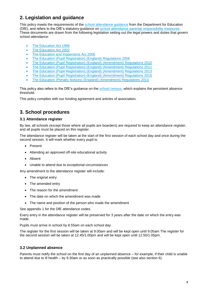## **2. Legislation and guidance**

This policy meets the requirements of the [school attendance guidance](https://www.gov.uk/government/publications/school-attendance) from the Department for Education (DfE), and refers to the DfE's statutory guidance on [school attendance parental responsibility measures.](https://www.gov.uk/government/publications/parental-responsibility-measures-for-behaviour-and-attendance) These documents are drawn from the following legislation setting out the legal powers and duties that govern school attendance:

- [The Education Act 1996](https://www.legislation.gov.uk/ukpga/1996/56/part/VI/chapter/II)
- [The Education Act 2002](http://www.legislation.gov.uk/ukpga/2002/32/part/3/chapter/3)
- [The Education and Inspections Act 2006](http://www.legislation.gov.uk/ukpga/2006/40/part/7/chapter/2/crossheading/school-attendance)
- [The Education \(Pupil Registration\) \(England\) Regulations 2006](http://www.legislation.gov.uk/uksi/2006/1751/contents/made)
- [The Education \(Pupil Registration\) \(England\) \(Amendment\) Regulations 2010](http://www.centralbedfordshire.gov.uk/Images/amendment-regulation-2010_tcm3-8642.pdf)
- [The Education \(Pupil Registration\) \(England\) \(Amendment\) Regulations 2011](http://www.legislation.gov.uk/uksi/2011/1625/made)
- [The Education \(Pupil Registration\) \(England\) \(Amendment\) Regulations 2013](http://www.legislation.gov.uk/uksi/2013/756/made)
- [The Education \(Pupil Registration\) \(England\) \(Amendment\) Regulations 2016](http://legislation.data.gov.uk/uksi/2016/792/made/data.html)
- [The Education \(Penalty Notices\) \(England\) \(Amendment\) Regulations 2013](http://www.legislation.gov.uk/uksi/2013/756/pdfs/uksiem_20130756_en.pdf)

This policy also refers to the DfE's guidance on the [school census,](https://www.gov.uk/government/publications/school-census-2017-to-2018-guide-for-schools-and-las) which explains the persistent absence threshold.

This policy complies with our funding agreement and articles of association.

## **3. School procedures**

#### **3.1 Attendance register**

By law, all schools (except those where all pupils are boarders) are required to keep an attendance register, and all pupils must be placed on this register.

The attendance register will be taken at the start of the first session of each school day and once during the second session. It will mark whether every pupil is:

- Present
- Attending an approved off-site educational activity
- Absent
- Unable to attend due to exceptional circumstances

Any amendment to the attendance register will include:

- The original entry
- The amended entry
- The reason for the amendment
- The date on which the amendment was made
- The name and position of the person who made the amendment

See appendix 1 for the DfE attendance codes.

Every entry in the attendance register will be preserved for 3 years after the date on which the entry was made.

Pupils must arrive in school by 8.55am on each school day.

The register for the first session will be taken at 9.00am and will be kept open until 9.05am The register for the second session will be taken at 12.45/1.00pm and will be kept open until 12.50/1.05pm.

#### **3.2 Unplanned absence**

Parents must notify the school on the first day of an unplanned absence – for example, if their child is unable to attend due to ill health – by 9.30am or as soon as practically possible (see also section 6).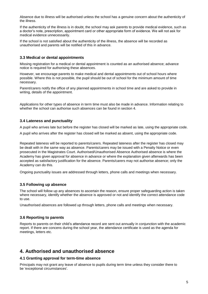Absence due to illness will be authorised unless the school has a genuine concern about the authenticity of the illness.

If the authenticity of the illness is in doubt, the school may ask parents to provide medical evidence, such as a doctor's note, prescription, appointment card or other appropriate form of evidence. We will not ask for medical evidence unnecessarily.

If the school is not satisfied about the authenticity of the illness, the absence will be recorded as unauthorised and parents will be notified of this in advance.

#### **3.3 Medical or dental appointments**

Missing registration for a medical or dental appointment is counted as an authorised absence; advance notice is required for authorising these absences.

However, we encourage parents to make medical and dental appointments out of school hours where possible. Where this is not possible, the pupil should be out of school for the minimum amount of time necessary.

Parent/carers notify the office of any planned appointments in school time and are asked to provide in writing, details of the appointment.

Applications for other types of absence in term time must also be made in advance. Information relating to whether the school can authorise such absences can be found in section 4.

#### **3.4 Lateness and punctuality**

A pupil who arrives late but before the register has closed will be marked as late, using the appropriate code.

A pupil who arrives after the register has closed will be marked as absent, using the appropriate code.

Repeated lateness will be reported to parents/carers. Repeated lateness after the register has closed may be dealt with in the same way as absence. Parents/carers may be issued with a Penalty Notice or even prosecuted in the Magistrates Court. Authorised/Unauthorised Absence Authorised absence is where the Academy has given approval for absence in advance or where the explanation given afterwards has been accepted as satisfactory justification for the absence. Parents/carers may not authorise absence; only the Academy can do this.

Ongoing punctuality issues are addressed through letters, phone calls and meetings when necessary.

#### **3.5 Following up absence**

The school will follow up any absences to ascertain the reason, ensure proper safeguarding action is taken where necessary, identify whether the absence is approved or not and identify the correct attendance code to use.

Unauthorised absences are followed up through letters, phone calls and meetings when necessary.

#### **3.6 Reporting to parents**

Reports to parents on their child's attendance record are sent out annually in conjunction with the academic report. If there are concens during the school year, the attendance certificate is used as the agenda for meetings, letters etc.

## **4. Authorised and unauthorised absence**

#### **4.1 Granting approval for term-time absence**

Principals may not grant any leave of absence to pupils during term time unless they consider there to be 'exceptional circumstances'.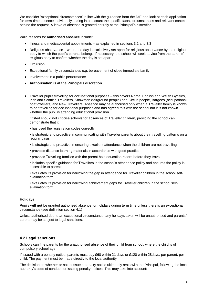We consider 'exceptional circumstances' in line with the guidance from the DfE and look at each application for term-time absence individually, taking into account the specific facts, circumstances and relevant context behind the request. A leave of absence is granted entirely at the Principal's discretion.

Valid reasons for **authorised absence** include:

- Illness and medical/dental appointments as explained in sections 3.2 and 3.3
- Religious observance where the day is exclusively set apart for religious observance by the religious body to which the pupil's parents belong. If necessary, the school will seek advice from the parents' religious body to confirm whether the day is set apart
- Exclusion
- Exceptional family circumstances e.g. bereavement of close immediate family
- Involvement in a public performance
- **Authorisation is at the Principals discretion**
- Traveller pupils travelling for occupational purposes this covers Roma, English and Welsh Gypsies, Irish and Scottish Travellers, Showmen (fairground people) and Circus people, Bargees (occupational boat dwellers) and New Travellers. Absence may be authorised only when a Traveller family is known to be travelling for occupational purposes and has agreed this with the school but it is not known whether the pupil is attending educational provision

Ofsted should not criticise schools for absences of Traveller children, providing the school can demonstrate that it:

- has used the registration codes correctly
- is strategic and proactive in communicating with Traveller parents about their travelling patterns on a regular basis
- is strategic and proactive in ensuring excellent attendance when the children are not travelling
- provides distance learning materials in accordance with good practice
- provides Travelling families with the parent held education record before they travel
- includes specific guidance for Travellers in the school's attendance policy and ensures the policy is accessible to parents
- evaluates its provision for narrowing the gap in attendance for Traveller children in the school selfevaluation form
- evaluates its provision for narrowing achievement gaps for Traveller children in the school selfevaluation form

#### **Holidays**

Pupils **will not** be granted authorised absence for holidays during term time unless there is an exceptional circumstance (see definition section 4.1)

Unless authorised due to an exceptional circumstance, any holidays taken will be unauthorised and parents/ carers may be subject to legal sanctions.

#### **4.2 Legal sanctions**

Schools can fine parents for the unauthorised absence of their child from school, where the child is of compulsory school age.

If issued with a penalty notice, parents must pay £60 within 21 days or £120 within 28days; per parent, per child. The payment must be made directly to the local authority.

The decision on whether or not to issue a penalty notice ultimately rests with the Principal, following the local authority's code of conduct for issuing penalty notices. This may take into account: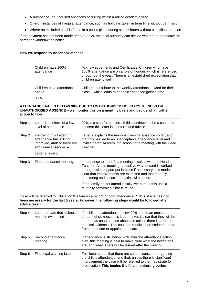- A number of unauthorised absences occurring within a rolling academic year
- One-off instances of irregular attendance, such as holidays taken in term time without permission
- Where an excluded pupil is found in a public place during school hours without a justifiable reason

If the payment has not been made after 28 days, the local authority can decide whether to prosecute the parent or withdraw the notice.

#### **How we respond to Absence/Lateness**

|                                                                                                                                                                                                               | Children have 100%<br>attendance                                                                                                                                            | Acknowledgements and Certificates. Children who have<br>100% attendance are on a role of honour, which is referenced<br>throughout the year. There is an established expectation that<br>children attend well.                                                                                                                                                    |  |  |
|---------------------------------------------------------------------------------------------------------------------------------------------------------------------------------------------------------------|-----------------------------------------------------------------------------------------------------------------------------------------------------------------------------|-------------------------------------------------------------------------------------------------------------------------------------------------------------------------------------------------------------------------------------------------------------------------------------------------------------------------------------------------------------------|--|--|
|                                                                                                                                                                                                               | Children have attendance<br>above<br>95%                                                                                                                                    | Children contribute to the weekly attendance award for their<br>class - which leads to periodic enhanced golden time.                                                                                                                                                                                                                                             |  |  |
|                                                                                                                                                                                                               | ATTENDANCE FALLS BELOW 90% DUE TO UNAUTHORISED HOLIDAYS, ILLNESS OR<br>UNAUTHORISED ABSENCE - we monitor this on a monthly basis and decide what further<br>action to take: |                                                                                                                                                                                                                                                                                                                                                                   |  |  |
| Step 1                                                                                                                                                                                                        | Letter 1 to inform of a low<br>level of attendance.                                                                                                                         | 90% is a start for concern. If this continues to be a cause for<br>concern this letter is to inform and advise.                                                                                                                                                                                                                                                   |  |  |
| Step 2                                                                                                                                                                                                        | Following this Letter 1 if<br>attendance has still not<br>improved, and/ or there are<br>additional absences -<br>Letter 2 is sent.                                         | Letter 2 explains the reasons given for absence so far, and<br>that this has led to an unacceptable attendance level and<br>invites parents/carers into school for a meeting with the Head<br>Teacher.                                                                                                                                                            |  |  |
| Step 3                                                                                                                                                                                                        | First attendance meeting.                                                                                                                                                   | In response to letter 2, a meeting is called with the Head<br>Teacher. At this meeting, a positive way forward is worked<br>through, with support put in place if necessary. It is made<br>clear that improvements are expected and that monthly<br>monitoring and associated actins with ensue.<br>If the family do not attend initially, we pursue this until a |  |  |
|                                                                                                                                                                                                               |                                                                                                                                                                             | mutually convenient time is found                                                                                                                                                                                                                                                                                                                                 |  |  |
| Case will be referred to Education Welfare as a record of poor attendance. * This stage has not<br>been necessary for the last 5 years. However, the following steps would be followed after<br>advice taken. |                                                                                                                                                                             |                                                                                                                                                                                                                                                                                                                                                                   |  |  |
| Step 4                                                                                                                                                                                                        | Letter to state that sickness<br>must be evidenced.                                                                                                                         | If a child has attendance below 90% due to an unusual<br>amount of sickness, this letter makes it clear that they will be<br>marked as unauthorised absences unless there is a form of<br>medical evidence. This could be medicine prescribed, a note<br>from the doctor or appointment card.                                                                     |  |  |
| Step 5                                                                                                                                                                                                        | Second attendance<br>meeting                                                                                                                                                | If attendance is still below 90% after the attendance action<br>plan, this meeting is held to make clear what the next steps<br>are, and what letters will be issued after the meeting.                                                                                                                                                                           |  |  |
| Step 6                                                                                                                                                                                                        | First legal warning letter                                                                                                                                                  | This letter states that there are serious concerns regarding<br>the child's attendance, and that, unless there is significant<br>improvement the case will be referred to the magistrate for<br>prosecution. This begins the final monitoring period.                                                                                                             |  |  |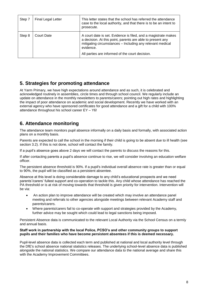| Step 7 | <b>Final Legal Letter</b> | This letter states that the school has referred the attendance<br>case to the local authority, and that there is to be an intent to<br>prosecute.                                                                                                         |
|--------|---------------------------|-----------------------------------------------------------------------------------------------------------------------------------------------------------------------------------------------------------------------------------------------------------|
| Step 8 | Court Date                | A court date is set. Evidence is filed, and a magistrate makes<br>a decision. At this point, parents are able to present any<br>mitigating circumstances - Including any relevant medical<br>evidence.<br>All parties are informed of the court decision. |

## **5. Strategies for promoting attendance**

At Yarm Primary, we have high expectations around attendance and as such, it is celebrated and acknowledged routinely in assemblies, circle times and through school council. We regularly include an update on attendance in the monthly newsletters to parents/carers; pointing out high rates and highlighting the impact of poor attendance on academic and social development. Recently we have worked with an external agency who have sponsored certificates for good attendance and a gift for a child with 100% attendance throughout his school career EY – Y6!

## **6. Attendance monitoring**

The attendance team monitors pupil absence informally on a daily basis and formally, with associated action plans on a monthly basis.

Parents are expected to call the school in the morning if their child is going to be absent due to ill health (see section 3.2). If this is not done, school will contact the family.

If a pupil's absence goes above 2 days we will contact the parents to discuss the reasons for this.

If after contacting parents a pupil's absence continue to rise, we will consider involving an education welfare officer.

The persistent absence threshold is 90%. If a pupil's individual overall absence rate is greater than or equal to 90%, the pupil will be classified as a persistent absentee.

Absence at this level is doing considerable damage to any child's educational prospects and we need parents'/carers' fullest support and co-operation to tackle this. Any child whose attendance has reached the PA threshold or is at risk of moving towards that threshold is given priority for intervention. Intervention will be via:

- An action plan to improve attendance will be created which may involve an attendance panel meeting and referrals to other agencies alongside meetings between relevant Academy staff and parents/carers.
- Where parents/carers fail to co-operate with support and strategies provided by the Academy, further advice may be sought which could lead to legal sanctions being imposed.

Persistent Absence data is communicated to the relevant Local Authority via the School Census on a termly and annual basis.

#### **Staff work in partnership with the local Police, PCSO's and other community groups to support pupils and their families who have become persistent absentees if this is deemed necessary.**

Pupil-level absence data is collected each term and published at national and local authority level through the DfE's school absence national statistics releases. The underlying school-level absence data is published alongside the national statistics. We compare our attendance data to the national average and share this with the Academy Improvement Committees.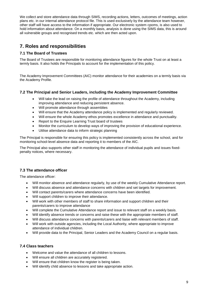We collect and store attendance data through SIMS, recording actions, letters, outcomes of meetings, action plans etc. in our internal attendance protocol file. This is used exclusively by the attendance team however, other staff will have access to the information if appropriate. Our electronic system cpoms, is also used to hold information about attendance. On a monthly basis, analysis is done using the SIMS data, this is around all vulnerable groups and recognised trends etc. which are then acted upon.

## **7. Roles and responsibilities**

#### **7.1 The Board of Trustees**

The Board of Trustees are responsible for monitoring attendance figures for the whole Trust on at least a termly basis. It also holds the Principals to account for the implementation of this policy.

The Academy Improvement Committees (AIC) monitor attendance for their academies on a termly basis via the Academy Profile.

#### **7.2 The Principal and Senior Leaders, including the Academy Improvement Committee**

- Will take the lead on raising the profile of attendance throughout the Academy, including improving attendance and reducing persistent absence.
- Will promote attendance through assemblies
- Will ensure that the Academy attendance policy is implemented and regularly reviewed.
- Will ensure the whole Academy ethos promotes excellence in attendance and punctuality.
- Report to the Enquire Learning Trust board of trustees
- Monitor the curriculum to develop ways of improving the provision of educational experience.
- Utilise attendance data to inform strategic planning

The Principal is responsible for ensuring this policy is implemented consistently across the school, and for monitoring school-level absence data and reporting it to members of the AIC.

The Principal also supports other staff in monitoring the attendance of individual pupils and issues fixedpenalty notices, where necessary.

#### **7.3 The attendance officer**

The attendance officer:

- Will monitor absence and attendance regularly, by use of the weekly Cumulative Attendance report.
- Will discuss absence and attendance concerns with children and set targets for improvement.
- Will contact parents/carers where attendance concerns have been identified.
- Will support children to improve their attendance.
- Will work with other members of staff to share information and support children and their parents/carers to improve attendance
- Will complete the Cumulative Attendance report and issue to relevant staff on a weekly basis.
- Will identify absence trends or concerns and raise these with the appropriate members of staff.
- Will discuss attendance concerns with parents/carers and liaise with relevant members of staff.
- Will work with outside agencies, including the Local Authority, where appropriate to improve attendance of individual children.
- Will provide data to the Principal, Senior Leaders and the Academy Council on a regular basis.

#### **7.4 Class teachers**

- Welcome and value the attendance of all children to lessons.
- Will ensure all children are accurately registered.
- Will ensure that children know the register is being taken.
- Will identify child absence to lessons and take appropriate action.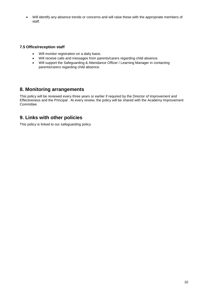Will identify any absence trends or concerns and will raise these with the appropriate members of staff.

#### **7.5 Office/reception staff**

- Will monitor registration on a daily basis.
- Will receive calls and messages from parents/carers regarding child absence.
- Will support the Safeguarding & Attendance Officer / Learning Manager in contacting parents/carers regarding child absence.

### **8. Monitoring arrangements**

This policy will be reviewed every three years or earlier if required by the Director of Improvement and Effectiveness and the Principal . At every review, the policy will be shared with the Academy Improvement Committee.

## **9. Links with other policies**

This policy is linked to our safeguarding policy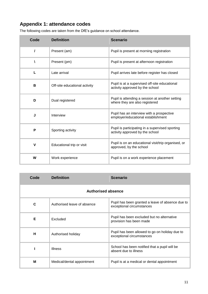## **Appendix 1: attendance codes**

| Code         | <b>Definition</b>             | <b>Scenario</b>                                                                    |
|--------------|-------------------------------|------------------------------------------------------------------------------------|
| I            | Present (am)                  | Pupil is present at morning registration                                           |
| ١            | Present (pm)                  | Pupil is present at afternoon registration                                         |
| L            | Late arrival                  | Pupil arrives late before register has closed                                      |
| В            | Off-site educational activity | Pupil is at a supervised off-site educational<br>activity approved by the school   |
| D            | Dual registered               | Pupil is attending a session at another setting<br>where they are also registered  |
| J            | Interview                     | Pupil has an interview with a prospective<br>employer/educational establishment    |
| P            | Sporting activity             | Pupil is participating in a supervised sporting<br>activity approved by the school |
| $\mathsf{V}$ | Educational trip or visit     | Pupil is on an educational visit/trip organised, or<br>approved, by the school     |
| W            | Work experience               | Pupil is on a work experience placement                                            |

The following codes are taken from the DfE's guidance on school attendance.

| Code                      | <b>Definition</b>           | <b>Scenario</b>                                                               |  |
|---------------------------|-----------------------------|-------------------------------------------------------------------------------|--|
| <b>Authorised absence</b> |                             |                                                                               |  |
| C                         | Authorised leave of absence | Pupil has been granted a leave of absence due to<br>exceptional circumstances |  |
| Е                         | Excluded                    | Pupil has been excluded but no alternative<br>provision has been made         |  |
| н                         | Authorised holiday          | Pupil has been allowed to go on holiday due to<br>exceptional circumstances   |  |
|                           | <b>Illness</b>              | School has been notified that a pupil will be<br>absent due to illness        |  |
| M                         | Medical/dental appointment  | Pupil is at a medical or dental appointment                                   |  |